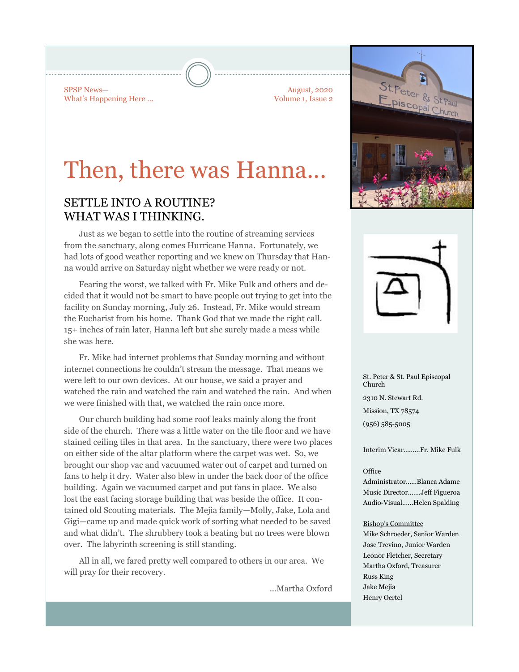SPSP News— What's Happening Here ...

August, 2020 Volume 1, Issue 2

# Then, there was Hanna...

## SETTLE INTO A ROUTINE? WHAT WAS I THINKING.

Just as we began to settle into the routine of streaming services from the sanctuary, along comes Hurricane Hanna. Fortunately, we had lots of good weather reporting and we knew on Thursday that Hanna would arrive on Saturday night whether we were ready or not.

Fearing the worst, we talked with Fr. Mike Fulk and others and decided that it would not be smart to have people out trying to get into the facility on Sunday morning, July 26. Instead, Fr. Mike would stream the Eucharist from his home. Thank God that we made the right call. 15+ inches of rain later, Hanna left but she surely made a mess while she was here.

Fr. Mike had internet problems that Sunday morning and without internet connections he couldn't stream the message. That means we were left to our own devices. At our house, we said a prayer and watched the rain and watched the rain and watched the rain. And when we were finished with that, we watched the rain once more.

Our church building had some roof leaks mainly along the front side of the church. There was a little water on the tile floor and we have stained ceiling tiles in that area. In the sanctuary, there were two places on either side of the altar platform where the carpet was wet. So, we brought our shop vac and vacuumed water out of carpet and turned on fans to help it dry. Water also blew in under the back door of the office building. Again we vacuumed carpet and put fans in place. We also lost the east facing storage building that was beside the office. It contained old Scouting materials. The Mejia family—Molly, Jake, Lola and Gigi—came up and made quick work of sorting what needed to be saved and what didn't. The shrubbery took a beating but no trees were blown over. The labyrinth screening is still standing.

All in all, we fared pretty well compared to others in our area. We will pray for their recovery.

...Martha Oxford



St. Peter & St. Paul Episcopal Church 2310 N. Stewart Rd. Mission, TX 78574 (956) 585-5005

Interim Vicar….…..Fr. Mike Fulk

#### **Office**

Administrator…...Blanca Adame Music Director…….Jeff Figueroa Audio-Visual…...Helen Spalding

#### Bishop's Committee

Mike Schroeder, Senior Warden Jose Trevino, Junior Warden Leonor Fletcher, Secretary Martha Oxford, Treasurer Russ King Jake Mejia Henry Oertel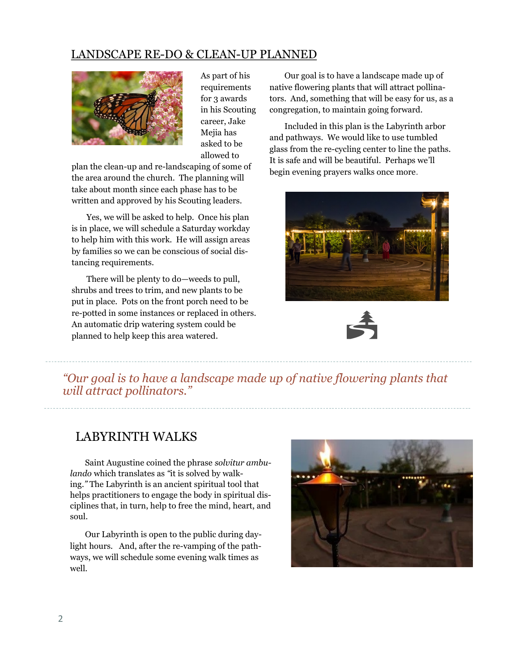### LANDSCAPE RE-DO & CLEAN-UP PLANNED



As part of his requirements for 3 awards in his Scouting career, Jake Mejia has asked to be allowed to

plan the clean-up and re-landscaping of some of the area around the church. The planning will take about month since each phase has to be written and approved by his Scouting leaders.

Yes, we will be asked to help. Once his plan is in place, we will schedule a Saturday workday to help him with this work. He will assign areas by families so we can be conscious of social distancing requirements.

There will be plenty to do—weeds to pull, shrubs and trees to trim, and new plants to be put in place. Pots on the front porch need to be re-potted in some instances or replaced in others. An automatic drip watering system could be planned to help keep this area watered.

Our goal is to have a landscape made up of native flowering plants that will attract pollinators. And, something that will be easy for us, as a congregation, to maintain going forward.

Included in this plan is the Labyrinth arbor and pathways. We would like to use tumbled glass from the re-cycling center to line the paths. It is safe and will be beautiful. Perhaps we'll begin evening prayers walks once more.





*"Our goal is to have a landscape made up of native flowering plants that will attract pollinators."*

## LABYRINTH WALKS

Saint Augustine coined the phrase *solvitur ambulando* which translates as *"*it is solved by walking*."* The Labyrinth is an ancient spiritual tool that helps practitioners to engage the body in spiritual disciplines that, in turn, help to free the mind, heart, and soul.

Our Labyrinth is open to the public during daylight hours. And, after the re-vamping of the pathways, we will schedule some evening walk times as well.

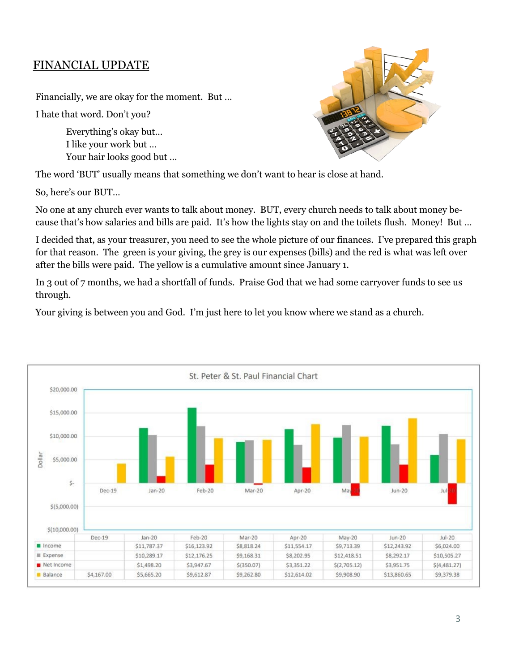# FINANCIAL UPDATE

Financially, we are okay for the moment. But …

I hate that word. Don't you?

Everything's okay but… I like your work but … Your hair looks good but …



The word 'BUT' usually means that something we don't want to hear is close at hand.

So, here's our BUT…

No one at any church ever wants to talk about money. BUT, every church needs to talk about money because that's how salaries and bills are paid. It's how the lights stay on and the toilets flush. Money! But …

I decided that, as your treasurer, you need to see the whole picture of our finances. I've prepared this graph for that reason. The green is your giving, the grey is our expenses (bills) and the red is what was left over after the bills were paid. The yellow is a cumulative amount since January 1.

In 3 out of 7 months, we had a shortfall of funds. Praise God that we had some carryover funds to see us through.

Your giving is between you and God. I'm just here to let you know where we stand as a church.

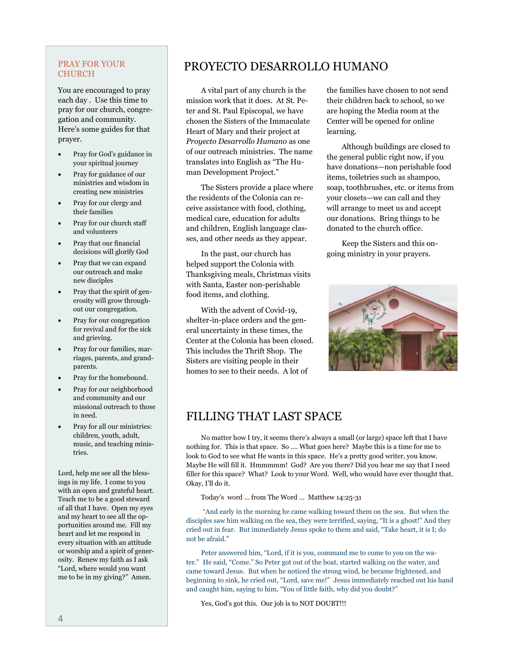#### PRAY FOR YOUR CHURCH

You are encouraged to pray each day . Use this time to pray for our church, congregation and community. Here's some guides for that prayer.

- Pray for God's guidance in your spiritual journey
- Pray for guidance of our ministries and wisdom in creating new ministries
- Pray for our clergy and their families
- Pray for our church staff and volunteers
- Pray that our financial decisions will glorify God
- Pray that we can expand our outreach and make new disciples
- Pray that the spirit of generosity will grow throughout our congregation.
- Pray for our congregation for revival and for the sick and grieving.
- Pray for our families, marriages, parents, and grandparents.
- Pray for the homebound.
- Pray for our neighborhood and community and our missional outreach to those in need.
- Pray for all our ministries: children, youth, adult, music, and teaching ministries.

Lord, help me see all the blessings in my life. I come to you with an open and grateful heart. Teach me to be a good steward of all that I have. Open my eyes and my heart to see all the opportunities around me. Fill my heart and let me respond in every situation with an attitude or worship and a spirit of generosity. Renew my faith as I ask "Lord, where would you want me to be in my giving?" Amen.

# PROYECTO DESARROLLO HUMANO

A vital part of any church is the mission work that it does. At St. Peter and St. Paul Episcopal, we have chosen the Sisters of the Immaculate Heart of Mary and their project at *Proyecto Desarrollo Humano* as one of our outreach ministries. The name translates into English as "The Human Development Project."

The Sisters provide a place where the residents of the Colonia can receive assistance with food, clothing, medical care, education for adults and children, English language classes, and other needs as they appear.

In the past, our church has helped support the Colonia with Thanksgiving meals, Christmas visits with Santa, Easter non-perishable food items, and clothing.

With the advent of Covid-19, shelter-in-place orders and the general uncertainty in these times, the Center at the Colonia has been closed. This includes the Thrift Shop. The Sisters are visiting people in their homes to see to their needs. A lot of

the families have chosen to not send their children back to school, so we are hoping the Media room at the Center will be opened for online learning.

Although buildings are closed to the general public right now, if you have donations—non perishable food items, toiletries such as shampoo, soap, toothbrushes, etc. or items from your closets—we can call and they will arrange to meet us and accept our donations. Bring things to be donated to the church office.

Keep the Sisters and this ongoing ministry in your prayers.



# FILLING THAT LAST SPACE

No matter how I try, it seems there's always a small (or large) space left that I have nothing for. This is that space. So …. What goes here? Maybe this is a time for me to look to God to see what He wants in this space. He's a pretty good writer, you know. Maybe He will fill it. Hmmmmm! God? Are you there? Did you hear me say that I need filler for this space? What? Look to your Word. Well, who would have ever thought that. Okay, I'll do it.

Today's word … from The Word … Matthew 14:25-31

"And early in the morning he came walking toward them on the sea. But when the disciples saw him walking on the sea, they were terrified, saying, "It is a ghost!" And they cried out in fear. But immediately Jesus spoke to them and said, "Take heart, it is I; do not be afraid."

Peter answered him, "Lord, if it is you, command me to come to you on the water." He said, "Come." So Peter got out of the boat, started walking on the water, and came toward Jesus. But when he noticed the strong wind, he became frightened, and beginning to sink, he cried out, "Lord, save me!" Jesus immediately reached out his hand and caught him, saying to him, "You of little faith, why did you doubt?"

Yes, God's got this. Our job is to NOT DOUBT!!!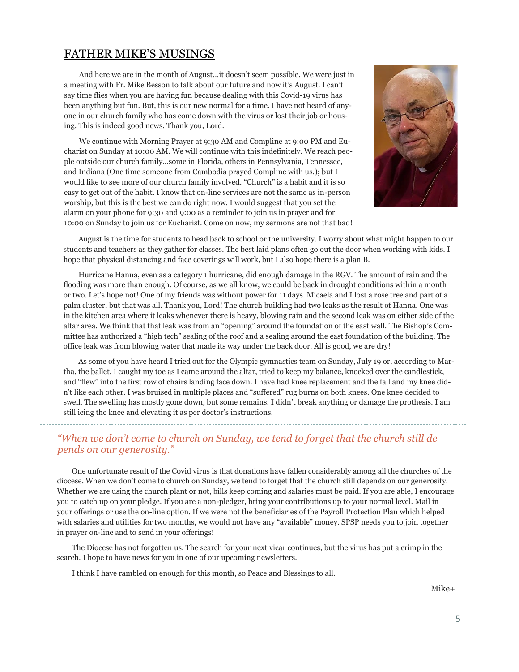### FATHER MIKE'S MUSINGS

And here we are in the month of August…it doesn't seem possible. We were just in a meeting with Fr. Mike Besson to talk about our future and now it's August. I can't say time flies when you are having fun because dealing with this Covid-19 virus has been anything but fun. But, this is our new normal for a time. I have not heard of anyone in our church family who has come down with the virus or lost their job or housing. This is indeed good news. Thank you, Lord.

We continue with Morning Prayer at 9:30 AM and Compline at 9:00 PM and Eucharist on Sunday at 10:00 AM. We will continue with this indefinitely. We reach people outside our church family…some in Florida, others in Pennsylvania, Tennessee, and Indiana (One time someone from Cambodia prayed Compline with us.); but I would like to see more of our church family involved. "Church" is a habit and it is so easy to get out of the habit. I know that on-line services are not the same as in-person worship, but this is the best we can do right now. I would suggest that you set the alarm on your phone for 9:30 and 9:00 as a reminder to join us in prayer and for 10:00 on Sunday to join us for Eucharist. Come on now, my sermons are not that bad!



August is the time for students to head back to school or the university. I worry about what might happen to our students and teachers as they gather for classes. The best laid plans often go out the door when working with kids. I hope that physical distancing and face coverings will work, but I also hope there is a plan B.

Hurricane Hanna, even as a category 1 hurricane, did enough damage in the RGV. The amount of rain and the flooding was more than enough. Of course, as we all know, we could be back in drought conditions within a month or two. Let's hope not! One of my friends was without power for 11 days. Micaela and I lost a rose tree and part of a palm cluster, but that was all. Thank you, Lord! The church building had two leaks as the result of Hanna. One was in the kitchen area where it leaks whenever there is heavy, blowing rain and the second leak was on either side of the altar area. We think that that leak was from an "opening" around the foundation of the east wall. The Bishop's Committee has authorized a "high tech" sealing of the roof and a sealing around the east foundation of the building. The office leak was from blowing water that made its way under the back door. All is good, we are dry!

As some of you have heard I tried out for the Olympic gymnastics team on Sunday, July 19 or, according to Martha, the ballet. I caught my toe as I came around the altar, tried to keep my balance, knocked over the candlestick, and "flew" into the first row of chairs landing face down. I have had knee replacement and the fall and my knee didn't like each other. I was bruised in multiple places and "suffered" rug burns on both knees. One knee decided to swell. The swelling has mostly gone down, but some remains. I didn't break anything or damage the prothesis. I am still icing the knee and elevating it as per doctor's instructions.

### *"When we don't come to church on Sunday, we tend to forget that the church still depends on our generosity."*

One unfortunate result of the Covid virus is that donations have fallen considerably among all the churches of the diocese. When we don't come to church on Sunday, we tend to forget that the church still depends on our generosity. Whether we are using the church plant or not, bills keep coming and salaries must be paid. If you are able, I encourage you to catch up on your pledge. If you are a non-pledger, bring your contributions up to your normal level. Mail in your offerings or use the on-line option. If we were not the beneficiaries of the Payroll Protection Plan which helped with salaries and utilities for two months, we would not have any "available" money. SPSP needs you to join together in prayer on-line and to send in your offerings!

The Diocese has not forgotten us. The search for your next vicar continues, but the virus has put a crimp in the search. I hope to have news for you in one of our upcoming newsletters.

I think I have rambled on enough for this month, so Peace and Blessings to all.

Mike+